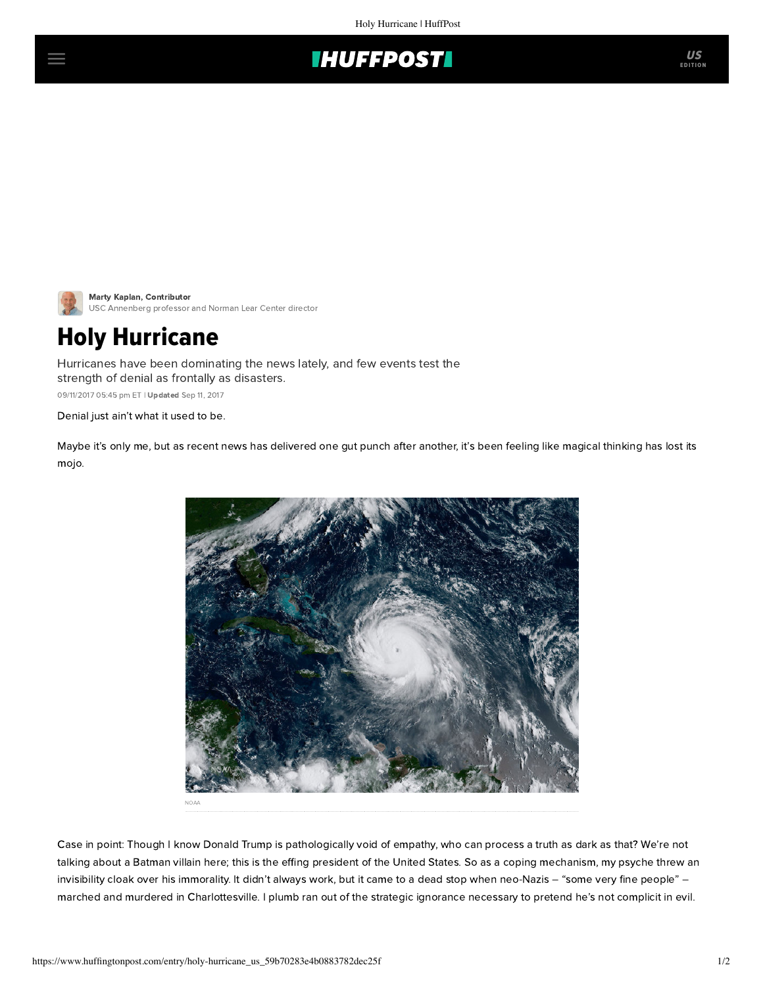



[Marty Kaplan](https://www.huffingtonpost.com/author/marty-kaplan), Contributor USC Annenberg professor and Norman Lear Center director

## Holy Hurricane

Hurricanes have been dominating the news lately, and few events test the strength of denial as frontally as disasters.

09/11/2017 05:45 pm ET | Updated Sep 11, 2017

Denial just ain't what it used to be.

Maybe it's only me, but as recent news has delivered one gut punch after another, it's been feeling like magical thinking has lost its mojo.



Case in point: Though I know Donald Trump is pathologically void of empathy, who can process a truth as dark as that? We're not talking about a Batman villain here; this is the effing president of the United States. So as a coping mechanism, my psyche threw an invisibility cloak over his immorality. It didn't always work, but it came to a dead stop when neo-Nazis – "some very fine people" – marched and murdered in Charlottesville. I plumb ran out of the strategic ignorance necessary to pretend he's not complicit in evil.